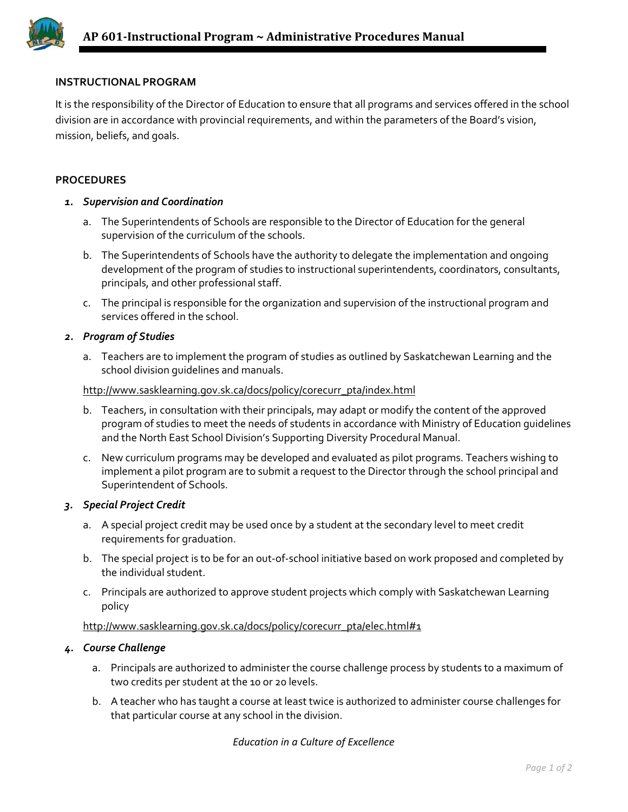

# **INSTRUCTIONAL PROGRAM**

It is the responsibility of the Director of Education to ensure that all programs and services offered in the school division are in accordance with provincial requirements, and within the parameters of the Board's vision, mission, beliefs, and goals.

# **PROCEDURES**

### *1. Supervision and Coordination*

- a. The Superintendents of Schools are responsible to the Director of Education for the general supervision of the curriculum of the schools.
- b. The Superintendents of Schools have the authority to delegate the implementation and ongoing development of the program of studies to instructional superintendents, coordinators, consultants, principals, and other professional staff.
- c. The principal is responsible for the organization and supervision of the instructional program and services offered in the school.

### *2. Program of Studies*

a. Teachers are to implement the program of studies as outlined by Saskatchewan Learning and the school division guidelines and manuals.

#### [http://www.sasklearning.gov.sk.ca/docs/policy/corecurr\\_pta/index.html](http://www.sasklearning.gov.sk.ca/docs/policy/corecurr_pta/index.html)

- b. Teachers, in consultation with their principals, may adapt or modify the content of the approved program of studies to meet the needs of students in accordance with Ministry of Education guidelines and the North East School Division's Supporting Diversity Procedural Manual.
- c. New curriculum programs may be developed and evaluated as pilot programs. Teachers wishing to implement a pilot program are to submit a request to the Director through the school principal and Superintendent of Schools.

# *3. Special Project Credit*

- a. A special project credit may be used once by a student at the secondary level to meet credit requirements for graduation.
- b. The special project is to be for an out-of-school initiative based on work proposed and completed by the individual student.
- c. Principals are authorized to approve student projects which comply with Saskatchewan Learning policy

# [http://www.sasklearning.gov.sk.ca/docs/policy/corecurr\\_pta/elec.html#1](http://www.sasklearning.gov.sk.ca/docs/policy/corecurr_pta/elec.html#1)

# *4. Course Challenge*

- a. Principals are authorized to administer the course challenge process by students to a maximum of two credits per student at the 10 or 20 levels.
- b. A teacher who has taught a course at least twice is authorized to administer course challenges for that particular course at any school in the division.

*Education in a Culture of Excellence*